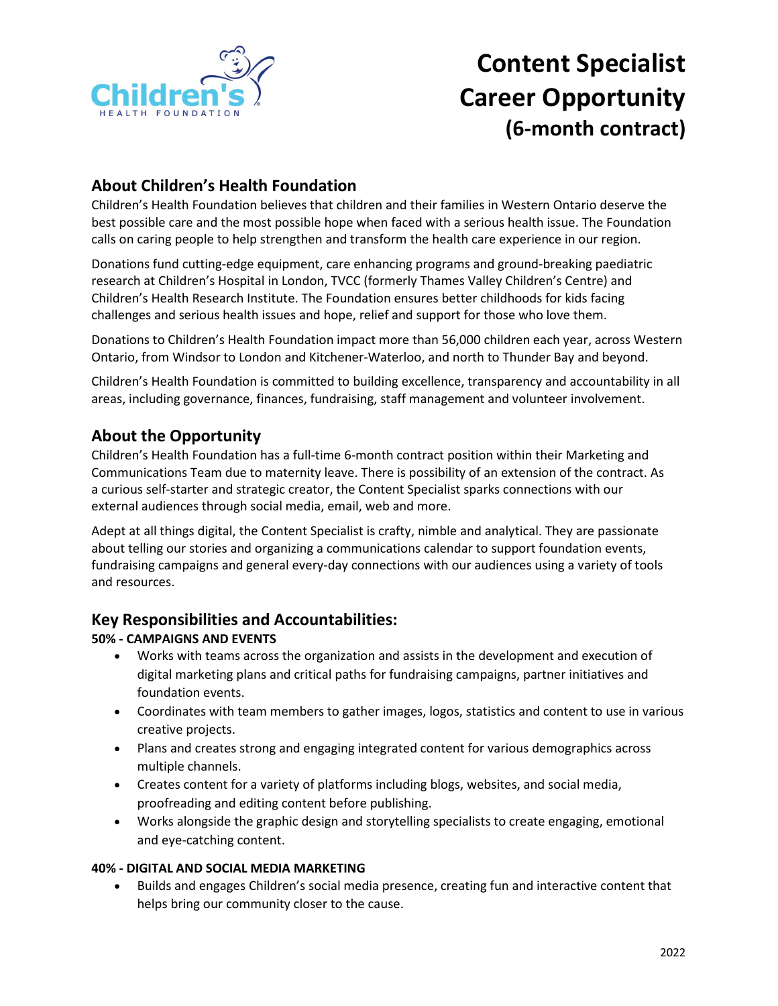

# **Content Specialist Career Opportunity (6-month contract)**

# **About Children's Health Foundation**

Children's Health Foundation believes that children and their families in Western Ontario deserve the best possible care and the most possible hope when faced with a serious health issue. The Foundation calls on caring people to help strengthen and transform the health care experience in our region.

Donations fund cutting-edge equipment, care enhancing programs and ground-breaking paediatric research at Children's Hospital in London, TVCC (formerly Thames Valley Children's Centre) and Children's Health Research Institute. The Foundation ensures better childhoods for kids facing challenges and serious health issues and hope, relief and support for those who love them.

Donations to Children's Health Foundation impact more than 56,000 children each year, across Western Ontario, from Windsor to London and Kitchener-Waterloo, and north to Thunder Bay and beyond.

Children's Health Foundation is committed to building excellence, transparency and accountability in all areas, including governance, finances, fundraising, staff management and volunteer involvement.

## **About the Opportunity**

Children's Health Foundation has a full-time 6-month contract position within their Marketing and Communications Team due to maternity leave. There is possibility of an extension of the contract. As a curious self-starter and strategic creator, the Content Specialist sparks connections with our external audiences through social media, email, web and more.

Adept at all things digital, the Content Specialist is crafty, nimble and analytical. They are passionate about telling our stories and organizing a communications calendar to support foundation events, fundraising campaigns and general every-day connections with our audiences using a variety of tools and resources.

## **Key Responsibilities and Accountabilities:**

#### **50% - CAMPAIGNS AND EVENTS**

- Works with teams across the organization and assists in the development and execution of digital marketing plans and critical paths for fundraising campaigns, partner initiatives and foundation events.
- Coordinates with team members to gather images, logos, statistics and content to use in various creative projects.
- Plans and creates strong and engaging integrated content for various demographics across multiple channels.
- Creates content for a variety of platforms including blogs, websites, and social media, proofreading and editing content before publishing.
- Works alongside the graphic design and storytelling specialists to create engaging, emotional and eye-catching content.

#### **40% - DIGITAL AND SOCIAL MEDIA MARKETING**

• Builds and engages Children's social media presence, creating fun and interactive content that helps bring our community closer to the cause.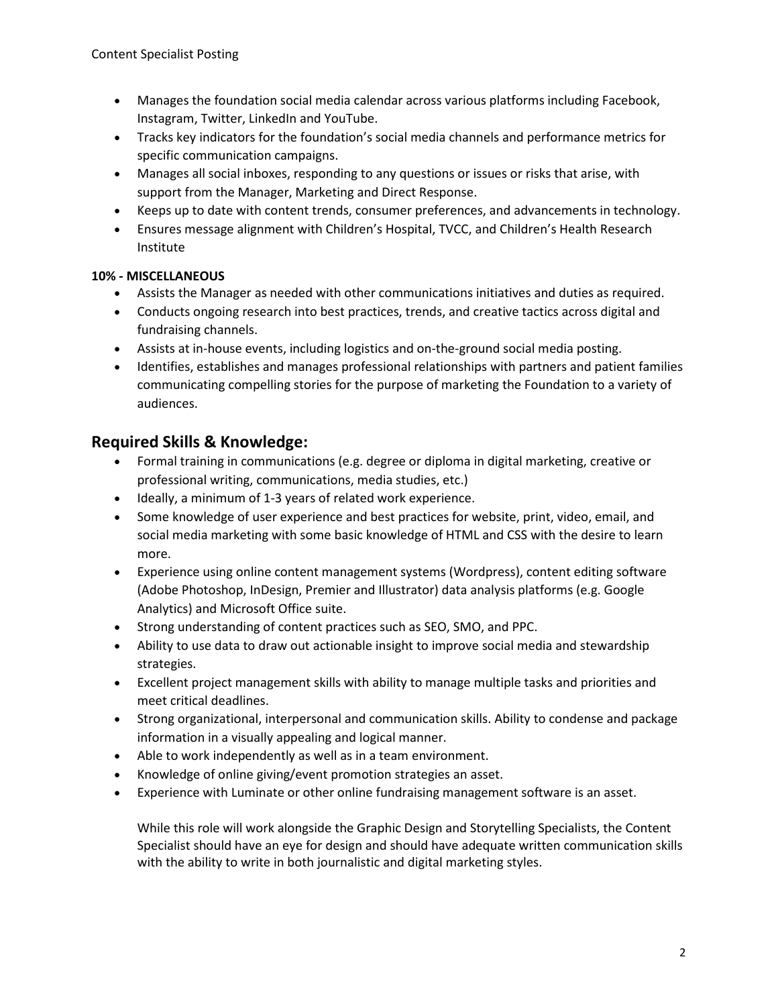- Manages the foundation social media calendar across various platforms including Facebook, Instagram, Twitter, LinkedIn and YouTube.
- Tracks key indicators for the foundation's social media channels and performance metrics for specific communication campaigns.
- Manages all social inboxes, responding to any questions or issues or risks that arise, with support from the Manager, Marketing and Direct Response.
- Keeps up to date with content trends, consumer preferences, and advancements in technology.
- Ensures message alignment with Children's Hospital, TVCC, and Children's Health Research Institute

#### **10% - MISCELLANEOUS**

- Assists the Manager as needed with other communications initiatives and duties as required.
- Conducts ongoing research into best practices, trends, and creative tactics across digital and fundraising channels.
- Assists at in-house events, including logistics and on-the-ground social media posting.
- Identifies, establishes and manages professional relationships with partners and patient families communicating compelling stories for the purpose of marketing the Foundation to a variety of audiences.

## **Required Skills & Knowledge:**

- Formal training in communications (e.g. degree or diploma in digital marketing, creative or professional writing, communications, media studies, etc.)
- Ideally, a minimum of 1-3 years of related work experience.
- Some knowledge of user experience and best practices for website, print, video, email, and social media marketing with some basic knowledge of HTML and CSS with the desire to learn more.
- Experience using online content management systems (Wordpress), content editing software (Adobe Photoshop, InDesign, Premier and Illustrator) data analysis platforms (e.g. Google Analytics) and Microsoft Office suite.
- Strong understanding of content practices such as SEO, SMO, and PPC.
- Ability to use data to draw out actionable insight to improve social media and stewardship strategies.
- Excellent project management skills with ability to manage multiple tasks and priorities and meet critical deadlines.
- Strong organizational, interpersonal and communication skills. Ability to condense and package information in a visually appealing and logical manner.
- Able to work independently as well as in a team environment.
- Knowledge of online giving/event promotion strategies an asset.
- Experience with Luminate or other online fundraising management software is an asset.

While this role will work alongside the Graphic Design and Storytelling Specialists, the Content Specialist should have an eye for design and should have adequate written communication skills with the ability to write in both journalistic and digital marketing styles.